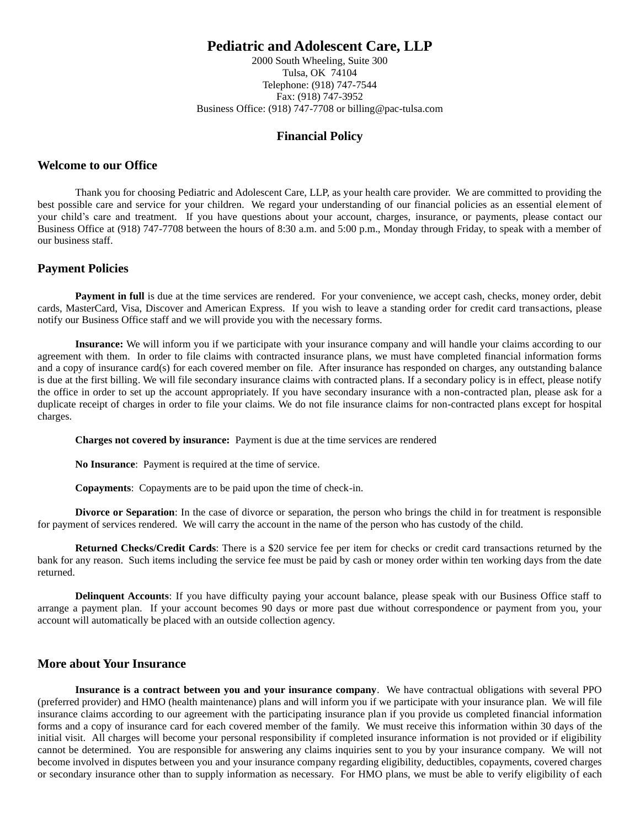# **Pediatric and Adolescent Care, LLP**

2000 South Wheeling, Suite 300 Tulsa, OK 74104 Telephone: (918) 747-7544 Fax: (918) 747-3952 Business Office: (918) 747-7708 or billing@pac-tulsa.com

### **Financial Policy**

#### **Welcome to our Office**

Thank you for choosing Pediatric and Adolescent Care, LLP, as your health care provider. We are committed to providing the best possible care and service for your children. We regard your understanding of our financial policies as an essential element of your child's care and treatment. If you have questions about your account, charges, insurance, or payments, please contact our Business Office at (918) 747-7708 between the hours of 8:30 a.m. and 5:00 p.m., Monday through Friday, to speak with a member of our business staff.

# **Payment Policies**

**Payment in full** is due at the time services are rendered. For your convenience, we accept cash, checks, money order, debit cards, MasterCard, Visa, Discover and American Express. If you wish to leave a standing order for credit card transactions, please notify our Business Office staff and we will provide you with the necessary forms.

**Insurance:** We will inform you if we participate with your insurance company and will handle your claims according to our agreement with them. In order to file claims with contracted insurance plans, we must have completed financial information forms and a copy of insurance card(s) for each covered member on file. After insurance has responded on charges, any outstanding balance is due at the first billing. We will file secondary insurance claims with contracted plans. If a secondary policy is in effect, please notify the office in order to set up the account appropriately. If you have secondary insurance with a non-contracted plan, please ask for a duplicate receipt of charges in order to file your claims. We do not file insurance claims for non-contracted plans except for hospital charges.

**Charges not covered by insurance:** Payment is due at the time services are rendered

**No Insurance**: Payment is required at the time of service.

**Copayments**: Copayments are to be paid upon the time of check-in.

**Divorce or Separation**: In the case of divorce or separation, the person who brings the child in for treatment is responsible for payment of services rendered. We will carry the account in the name of the person who has custody of the child.

**Returned Checks/Credit Cards**: There is a \$20 service fee per item for checks or credit card transactions returned by the bank for any reason. Such items including the service fee must be paid by cash or money order within ten working days from the date returned.

**Delinquent Accounts**: If you have difficulty paying your account balance, please speak with our Business Office staff to arrange a payment plan. If your account becomes 90 days or more past due without correspondence or payment from you, your account will automatically be placed with an outside collection agency.

#### **More about Your Insurance**

**Insurance is a contract between you and your insurance company**. We have contractual obligations with several PPO (preferred provider) and HMO (health maintenance) plans and will inform you if we participate with your insurance plan. We will file insurance claims according to our agreement with the participating insurance plan if you provide us completed financial information forms and a copy of insurance card for each covered member of the family. We must receive this information within 30 days of the initial visit. All charges will become your personal responsibility if completed insurance information is not provided or if eligibility cannot be determined. You are responsible for answering any claims inquiries sent to you by your insurance company. We will not become involved in disputes between you and your insurance company regarding eligibility, deductibles, copayments, covered charges or secondary insurance other than to supply information as necessary. For HMO plans, we must be able to verify eligibility of each